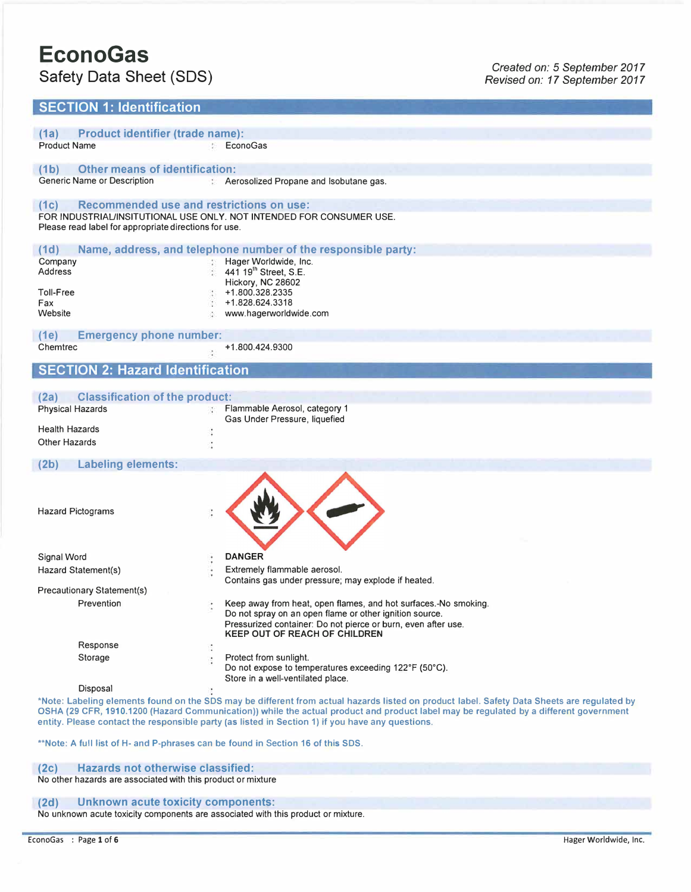# **EconoGas**

## **SECTION 1: Identification**

| <b>Product identifier (trade name):</b><br>(1a)            |                                                                                                                                             |
|------------------------------------------------------------|---------------------------------------------------------------------------------------------------------------------------------------------|
| <b>Product Name</b>                                        | EconoGas                                                                                                                                    |
| <b>Other means of identification:</b><br>(1 <sub>b</sub> ) |                                                                                                                                             |
| Generic Name or Description                                | : Aerosolized Propane and Isobutane gas.                                                                                                    |
| (1c)                                                       | <b>Recommended use and restrictions on use:</b>                                                                                             |
| Please read label for appropriate directions for use.      | FOR INDUSTRIAL/INSITUTIONAL USE ONLY. NOT INTENDED FOR CONSUMER USE.                                                                        |
| (1d)                                                       | Name, address, and telephone number of the responsible party:                                                                               |
| Company                                                    | Hager Worldwide, Inc.                                                                                                                       |
| Address                                                    | 441 19 <sup>th</sup> Street, S.E.<br>Hickory, NC 28602                                                                                      |
| Toll-Free                                                  | +1.800.328.2335                                                                                                                             |
| Fax                                                        | +1.828.624.3318                                                                                                                             |
| Website                                                    | www.hagerworldwide.com                                                                                                                      |
| <b>Emergency phone number:</b><br>(1e)                     |                                                                                                                                             |
| Chemtrec                                                   | +1.800.424.9300                                                                                                                             |
| <b>SECTION 2: Hazard Identification</b>                    |                                                                                                                                             |
|                                                            |                                                                                                                                             |
| <b>Classification of the product:</b><br>(2a)              |                                                                                                                                             |
| <b>Physical Hazards</b>                                    | Flammable Aerosol, category 1                                                                                                               |
|                                                            | Gas Under Pressure, liquefied                                                                                                               |
| <b>Health Hazards</b>                                      |                                                                                                                                             |
| Other Hazards                                              |                                                                                                                                             |
| <b>Labeling elements:</b><br>(2b)                          |                                                                                                                                             |
|                                                            |                                                                                                                                             |
|                                                            |                                                                                                                                             |
| <b>Hazard Pictograms</b>                                   |                                                                                                                                             |
|                                                            |                                                                                                                                             |
|                                                            |                                                                                                                                             |
|                                                            |                                                                                                                                             |
| Signal Word                                                | <b>DANGER</b>                                                                                                                               |
| Hazard Statement(s)                                        | Extremely flammable aerosol.<br>Contains gas under pressure; may explode if heated.                                                         |
| Precautionary Statement(s)                                 |                                                                                                                                             |
| Prevention                                                 | Keep away from heat, open flames, and hot surfaces. No smoking.                                                                             |
|                                                            | Do not spray on an open flame or other ignition source.                                                                                     |
|                                                            | Pressurized container: Do not pierce or burn, even after use.<br><b>KEEP OUT OF REACH OF CHILDREN</b>                                       |
| Response                                                   |                                                                                                                                             |
| Storage                                                    | Protect from sunlight.                                                                                                                      |
|                                                            | Do not expose to temperatures exceeding 122°F (50°C).<br>Store in a well-ventilated place.                                                  |
| Disposal                                                   |                                                                                                                                             |
|                                                            | *Note: Labeling elements found on the SDS may be different from actual hazards listed on product label. Safety Data Sheets are regulated by |
|                                                            | OSHA (29 CFR, 1910.1200 (Hazard Communication)) while the actual product and product label may be regulated by a different government       |
|                                                            | entity. Please contact the responsible party (as listed in Section 1) if you have any questions.                                            |

\*\*Note: A full list of H- and P-phrases can be found in Section 16 of this SOS.

#### **(2c) Hazards not otherwise classified:**

No other hazards are associated with this product or mixture

## **(2d) Unknown acute toxicity components:**

No unknown acute toxicity components are associated with this product or mixture.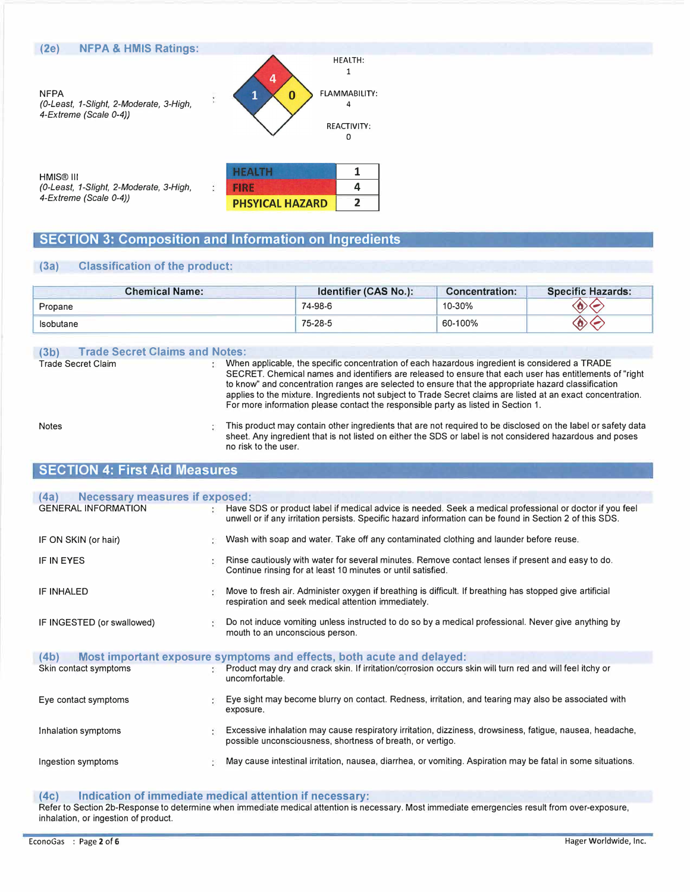

*(0-Least, 1-Slight, 2-Moderate, 3-High, 4-Extreme (Scale 0-4))* 

|                    | Δ |
|--------------------|---|
| <b>ICAL HAZARD</b> |   |

## **SECTION 3: Composition and Information on Ingredients**

**PHS** 

## **(3a) Classification of the product:**

| <b>Chemical Name:</b> | Identifier (CAS No.): | <b>Concentration:</b> | <b>Specific Hazards:</b> |
|-----------------------|-----------------------|-----------------------|--------------------------|
| Propane               | 74-98-6               | 10-30%                |                          |
| Isobutane             | 75-28-5               | 60-100%               |                          |

#### **(3b) Trade Secret Claims and Notes:**

Trade Secret Claim Notes When applicable, the specific concentration of each hazardous ingredient is considered a TRADE SECRET. Chemical names and identifiers are released to ensure that each user has entitlements of "right to know" and concentration ranges are selected to ensure that the appropriate hazard classification applies to the mixture. Ingredients not subject to Trade Secret claims are listed at an exact concentration. For more information please contact the responsible party as listed in Section 1. This product may contain other ingredients that are not required to be disclosed on the label or safety data

sheet. Any ingredient that is not listed on either the SOS or label is not considered hazardous and poses no risk to the user.

## **SECTION 4: First Aid Measures**

| <b>Necessary measures if exposed:</b><br>(4a) |    |                                                                                                                                                                                                                      |
|-----------------------------------------------|----|----------------------------------------------------------------------------------------------------------------------------------------------------------------------------------------------------------------------|
| <b>GENERAL INFORMATION</b>                    | ÷. | Have SDS or product label if medical advice is needed. Seek a medical professional or doctor if you feel<br>unwell or if any irritation persists. Specific hazard information can be found in Section 2 of this SDS. |
| IF ON SKIN (or hair)                          | s  | Wash with soap and water. Take off any contaminated clothing and launder before reuse.                                                                                                                               |
| <b>IF IN EYES</b>                             |    | Rinse cautiously with water for several minutes. Remove contact lenses if present and easy to do.<br>Continue rinsing for at least 10 minutes or until satisfied.                                                    |
| IF INHALED                                    |    | Move to fresh air. Administer oxygen if breathing is difficult. If breathing has stopped give artificial<br>respiration and seek medical attention immediately.                                                      |
| IF INGESTED (or swallowed)                    |    | Do not induce vomiting unless instructed to do so by a medical professional. Never give anything by<br>mouth to an unconscious person.                                                                               |
| (4b)                                          |    | Most important exposure symptoms and effects, both acute and delayed:                                                                                                                                                |
| Skin contact symptoms                         |    | Product may dry and crack skin. If irritation/corrosion occurs skin will turn red and will feel itchy or<br>uncomfortable.                                                                                           |
| Eye contact symptoms                          |    | Eye sight may become blurry on contact. Redness, irritation, and tearing may also be associated with<br>exposure.                                                                                                    |
| Inhalation symptoms                           |    | Excessive inhalation may cause respiratory irritation, dizziness, drowsiness, fatigue, nausea, headache,<br>possible unconsciousness, shortness of breath, or vertigo.                                               |
| Ingestion symptoms                            | ş  | May cause intestinal irritation, nausea, diarrhea, or vomiting. Aspiration may be fatal in some situations.                                                                                                          |

#### **(4c) Indication of immediate medical attention if necessary:**

Refer to Section 2b-Response to determine when immediate medical attention is necessary. Most immediate emergencies result from over-exposure, inhalation, or ingestion of product.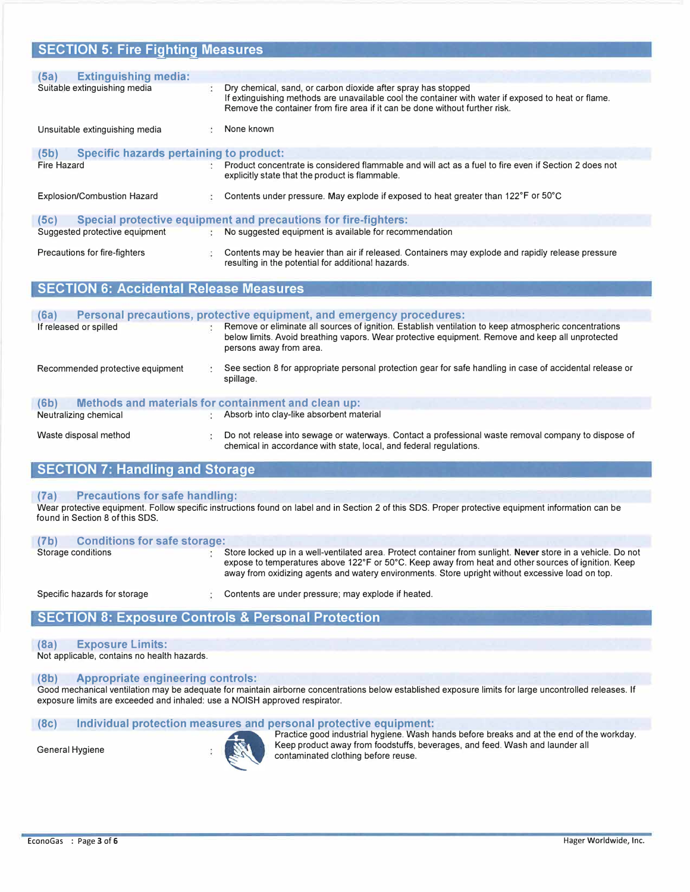| <b>SECTION 5: Fire Fighting Measures</b>               |                                                                                                                                                                                                                                                     |
|--------------------------------------------------------|-----------------------------------------------------------------------------------------------------------------------------------------------------------------------------------------------------------------------------------------------------|
|                                                        |                                                                                                                                                                                                                                                     |
| <b>Extinguishing media:</b><br>(5a)                    |                                                                                                                                                                                                                                                     |
| Suitable extinguishing media                           | Dry chemical, sand, or carbon dioxide after spray has stopped<br>If extinguishing methods are unavailable cool the container with water if exposed to heat or flame.<br>Remove the container from fire area if it can be done without further risk. |
| Unsuitable extinguishing media                         | None known                                                                                                                                                                                                                                          |
| <b>Specific hazards pertaining to product:</b><br>(5b) |                                                                                                                                                                                                                                                     |
| <b>Fire Hazard</b>                                     | Product concentrate is considered flammable and will act as a fuel to fire even if Section 2 does not<br>explicitly state that the product is flammable.                                                                                            |
| <b>Explosion/Combustion Hazard</b>                     | Contents under pressure. May explode if exposed to heat greater than 122°F or 50°C                                                                                                                                                                  |
| (5c)                                                   | <b>Special protective equipment and precautions for fire-fighters:</b>                                                                                                                                                                              |
| Suggested protective equipment                         | No suggested equipment is available for recommendation                                                                                                                                                                                              |
| Precautions for fire-fighters                          | Contents may be heavier than air if released. Containers may explode and rapidly release pressure<br>resulting in the potential for additional hazards.                                                                                             |
| <b>SECTION 6: Accidental Release Measures</b>          |                                                                                                                                                                                                                                                     |

| (6a)                             | Personal precautions, protective equipment, and emergency procedures:                                                                                                                                                                |
|----------------------------------|--------------------------------------------------------------------------------------------------------------------------------------------------------------------------------------------------------------------------------------|
| If released or spilled           | Remove or eliminate all sources of ignition. Establish ventilation to keep atmospheric concentrations<br>below limits. Avoid breathing vapors. Wear protective equipment. Remove and keep all unprotected<br>persons away from area. |
| Recommended protective equipment | See section 8 for appropriate personal protection gear for safe handling in case of accidental release or<br>spillage.                                                                                                               |
| (6b)                             | Methods and materials for containment and clean up:                                                                                                                                                                                  |
| Neutralizing chemical            | Absorb into clay-like absorbent material                                                                                                                                                                                             |
| Waste disposal method            | Do not release into sewage or waterways. Contact a professional waste removal company to dispose of<br>chemical in accordance with state, local, and federal regulations.                                                            |

## **SECTION 7: Handling and Storage**

#### **(7a) Precautions for safe handling:**

Wear protective equipment. Follow specific instructions found on label and in Section 2 of this SOS. Proper protective equipment information can be found in Section 8 of this SOS.

| (7 <sub>b</sub> ) | <b>Conditions for safe storage:</b><br>Storage conditions | Store locked up in a well-ventilated area. Protect container from sunlight. Never store in a vehicle. Do not<br>expose to temperatures above 122°F or 50°C. Keep away from heat and other sources of ignition. Keep<br>away from oxidizing agents and watery environments. Store upright without excessive load on top. |  |
|-------------------|-----------------------------------------------------------|-------------------------------------------------------------------------------------------------------------------------------------------------------------------------------------------------------------------------------------------------------------------------------------------------------------------------|--|
|                   | Specific hazards for storage                              | Contents are under pressure: may explode if heated.                                                                                                                                                                                                                                                                     |  |

## **SECTION 8: Exposure Controls & Personal Protection**

#### **(Sa) Exposure Limits:**

Not applicable, contains no health hazards.

#### **(Sb) Appropriate engineering controls:**

Good mechanical ventilation may be adequate for maintain airborne concentrations below established exposure limits for large uncontrolled releases. If exposure limits are exceeded and inhaled: use a NOISH approved respirator.

#### **(Sc) Individual protection measures and personal protective equipment:**



Practice good industrial hygiene. Wash hands before breaks and at the end of the workday. General Hygiene **States and Finance of the Ceneral Hygiene** Ceneral Hygiene contaminated clothing before reuse.<br>Contaminated clothing before reuse.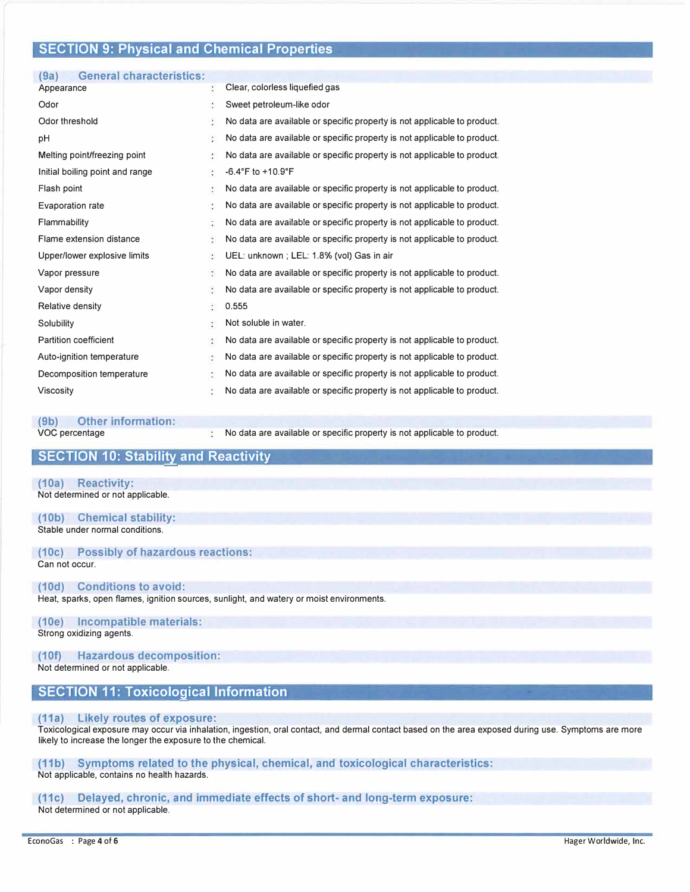## **SECTION 9: Physical and Chemical Properties**

| <b>General characteristics:</b><br>(9a) |    |                                                                          |
|-----------------------------------------|----|--------------------------------------------------------------------------|
| Appearance                              | t  | Clear, colorless liquefied gas                                           |
| Odor                                    |    | Sweet petroleum-like odor                                                |
| Odor threshold                          | ţ. | No data are available or specific property is not applicable to product. |
| pH                                      | z  | No data are available or specific property is not applicable to product. |
| Melting point/freezing point            | ÷  | No data are available or specific property is not applicable to product. |
| Initial boiling point and range         | ÷  | $-6.4^{\circ}$ F to $+10.9^{\circ}$ F                                    |
| Flash point                             | Ğ. | No data are available or specific property is not applicable to product. |
| Evaporation rate                        | ÷  | No data are available or specific property is not applicable to product. |
| Flammability                            |    | No data are available or specific property is not applicable to product. |
| Flame extension distance                | ¢, | No data are available or specific property is not applicable to product. |
| Upper/lower explosive limits            | ÷  | UEL: unknown ; LEL: 1.8% (vol) Gas in air                                |
| Vapor pressure                          | ÷, | No data are available or specific property is not applicable to product. |
| Vapor density                           | ĭ  | No data are available or specific property is not applicable to product. |
| Relative density                        | ÷  | 0.555                                                                    |
| Solubility                              | ÷. | Not soluble in water.                                                    |
| <b>Partition coefficient</b>            | ă. | No data are available or specific property is not applicable to product. |
| Auto-ignition temperature               | Ç. | No data are available or specific property is not applicable to product. |
| Decomposition temperature               | ÷  | No data are available or specific property is not applicable to product. |
| <b>Viscosity</b>                        | ÷  | No data are available or specific property is not applicable to product. |
|                                         |    |                                                                          |

| (9b)<br><b>Other information:</b> |                                                                          |
|-----------------------------------|--------------------------------------------------------------------------|
| VOC percentage                    | No data are available or specific property is not applicable to product. |

## **SECTION 10: Stability and Reactivity**

**(10a) Reactivity:**  Not determined or not applicable.

**(10b) Chemical stability:**  Stable under normal conditions.

## **(10c) Possibly of hazardous reactions:**

Can not occur.

## **(10d) Conditions to avoid:**

Heat, sparks, open flames, ignition sources, sunlight, and watery or moist environments.

## **(10e) Incompatible materials:**

Strong oxidizing agents.

#### **(10f) Hazardous decomposition:**  Not determined or not applicable.

## **SECTION 11: Toxicological Information**

#### **(11a) Likely routes of exposure:**

Toxicological exposure may occur via inhalation, ingestion, oral contact, and dermal contact based on the area exposed during use. Symptoms are more likely to increase the longer the exposure to the chemical.

**(11b) Symptoms related to the physical, chemical, and toxicological characteristics:**  Not applicable, contains no health hazards.

## **(11c) Delayed, chronic, and immediate effects of short- and long-term exposure:**

Not determined or not applicable.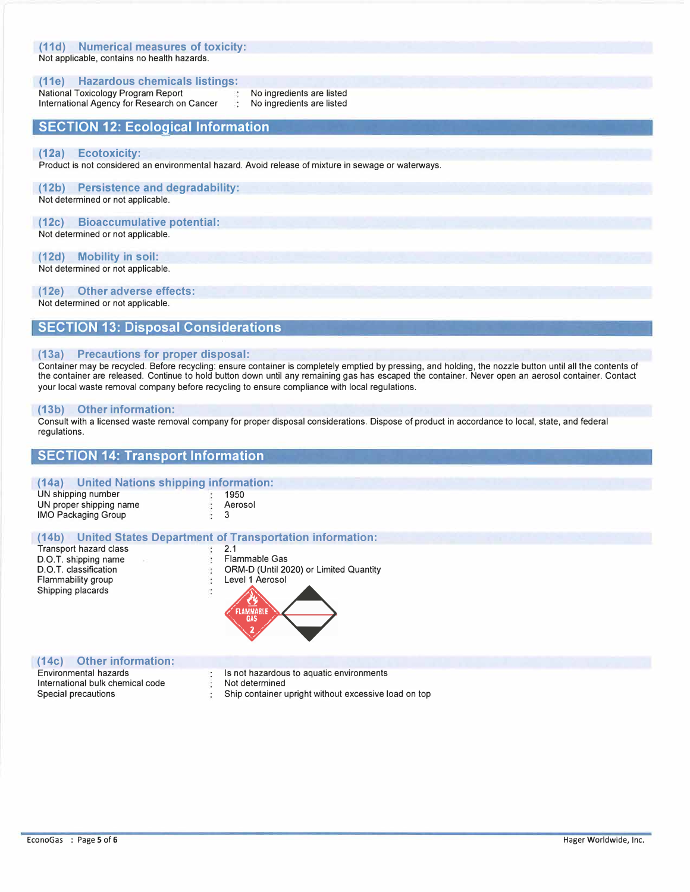## **(11 d) Numerical measures of toxicity:**

Not applicable, contains no health hazards.

#### **(11e) Hazardous chemicals listings:**

National Toxicology Program Report International Agency for Research on Cancer No ingredients are listed No ingredients are listed

## **SECTION 12: Ecological Information**

#### **(12a) Ecotoxicity:**

Product is not considered an environmental hazard. Avoid release of mixture in sewage or waterways.

## **(12b) Persistence and degradability:**

Not determined or not applicable.

#### **(12c) Bioaccumulative potential:**

Not determined or not applicable.

#### **(12d) Mobility in soil:**

Not determined or not applicable.

#### **(12e) Other adverse effects:**

Not determined or not applicable.

## **SECTION 13: Disposal Considerations**

#### **(13a) Precautions for proper disposal:**

Container may be recycled. Before recycling: ensure container is completely emptied by pressing, and holding, the nozzle button until all the contents of the container are released. Continue to hold button down until any remaining gas has escaped the container. Never open an aerosol container. Contact your local waste removal company before recycling to ensure compliance with local regulations.

#### **(13b) Other information:**

Consult with a licensed waste removal company for proper disposal considerations. Dispose of product in accordance to local, state, and federal regulations.

## **SECTION 14: Transport Information**

## **(14a) United Nations shipping information:**

| UN shipping number         | 1950    |
|----------------------------|---------|
| UN proper shipping name    | Aerosol |
| <b>IMO Packaging Group</b> |         |

## **(14b) United States Department of Transportation information:**

÷  $\ddot{\phantom{0}}$ ÷

Transport hazard class <br>
D.O.T. shipping name exercise than the Sas D.O.T. shipping name<br>D.O.T. classification Flammability group **Level 1** Aerosol



#### **(14c) Other information:**

Environmental hazards International bulk chemical code Special precautions

Is not hazardous to aquatic environments

Not determined

Ship container upright without excessive load on top